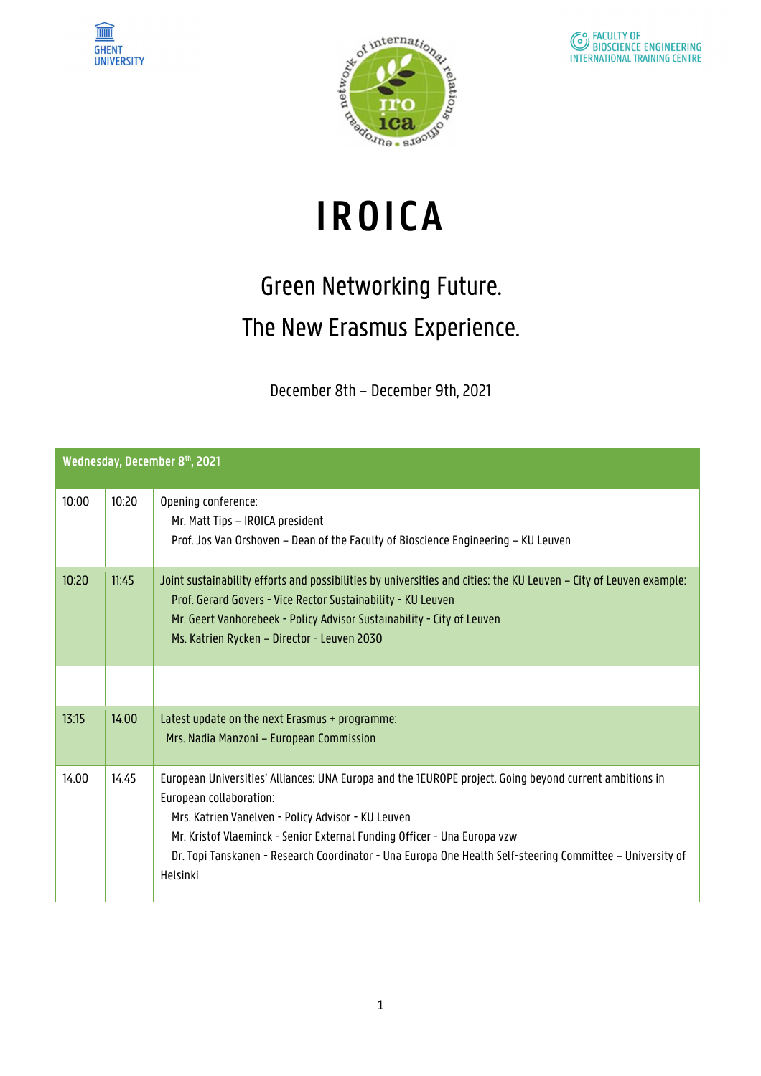





## **IROICA**

## Green Networking Future. The New Erasmus Experience.

December 8th – December 9th, 2021

| Wednesday, December 8th, 2021 |       |                                                                                                                                                                                                                                                                                                                                                                                               |  |
|-------------------------------|-------|-----------------------------------------------------------------------------------------------------------------------------------------------------------------------------------------------------------------------------------------------------------------------------------------------------------------------------------------------------------------------------------------------|--|
| 10:00                         | 10:20 | Opening conference:<br>Mr. Matt Tips - IROICA president<br>Prof. Jos Van Orshoven - Dean of the Faculty of Bioscience Engineering - KU Leuven                                                                                                                                                                                                                                                 |  |
| 10:20                         | 11:45 | Joint sustainability efforts and possibilities by universities and cities: the KU Leuven – City of Leuven example:<br>Prof. Gerard Govers - Vice Rector Sustainability - KU Leuven<br>Mr. Geert Vanhorebeek - Policy Advisor Sustainability - City of Leuven<br>Ms. Katrien Rycken - Director - Leuven 2030                                                                                   |  |
|                               |       |                                                                                                                                                                                                                                                                                                                                                                                               |  |
| 13:15                         | 14.00 | Latest update on the next Erasmus + programme:<br>Mrs. Nadia Manzoni - European Commission                                                                                                                                                                                                                                                                                                    |  |
| 14.00                         | 14.45 | European Universities' Alliances: UNA Europa and the 1EUROPE project. Going beyond current ambitions in<br>European collaboration:<br>Mrs. Katrien Vanelven - Policy Advisor - KU Leuven<br>Mr. Kristof Vlaeminck - Senior External Funding Officer - Una Europa vzw<br>Dr. Topi Tanskanen - Research Coordinator - Una Europa One Health Self-steering Committee - University of<br>Helsinki |  |